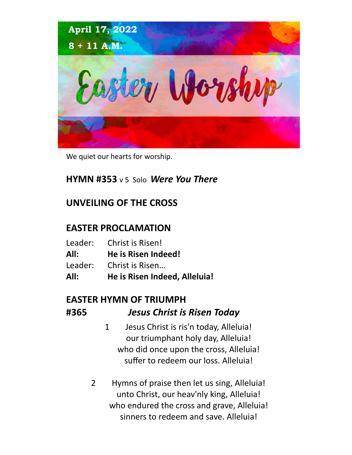

We quiet our hearts for worship.

#### **HYMN #353** v 5 Solo *Were You There*

# **UNVEILING OF THE CROSS**

# **EASTER PROCLAMATION**

- Leader: Christ is Risen!
- **All: He is Risen Indeed!**
- Leader: Christ is Risen…
- **All: He is Risen Indeed, Alleluia!**

#### **EASTER HYMN OF TRIUMPH**

#### **#365** *Jesus Christ is Risen Today*

- 1 Jesus Christ is ris'n today, Alleluia! our triumphant holy day, Alleluia! who did once upon the cross, Alleluia! suffer to redeem our loss. Alleluia!
- 2 Hymns of praise then let us sing, Alleluia! unto Christ, our heav'nly king, Alleluia! who endured the cross and grave, Alleluia! sinners to redeem and save. Alleluia!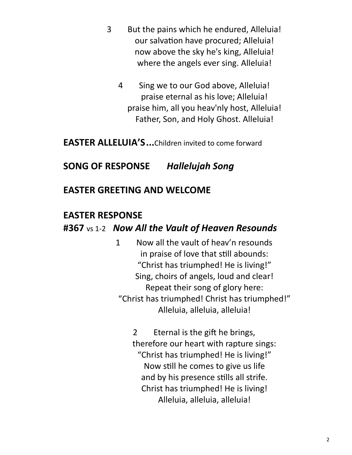- 3 But the pains which he endured, Alleluia! our salvation have procured; Alleluia! now above the sky he's king, Alleluia! where the angels ever sing. Alleluia!
	- 4 Sing we to our God above, Alleluia! praise eternal as his love; Alleluia! praise him, all you heav'nly host, Alleluia! Father, Son, and Holy Ghost. Alleluia!

**EASTER ALLELUIA'S...**Children invited to come forward

**SONG OF RESPONSE** *Hallelujah Song*

# **EASTER GREETING AND WELCOME**

# **EASTER RESPONSE**

# **#367** vs 1-2 *Now All the Vault of Heaven Resounds*

1 Now all the vault of heav'n resounds in praise of love that still abounds: "Christ has triumphed! He is living!" Sing, choirs of angels, loud and clear! Repeat their song of glory here: "Christ has triumphed! Christ has triumphed!" Alleluia, alleluia, alleluia!

2 Eternal is the gift he brings, therefore our heart with rapture sings: "Christ has triumphed! He is living!" Now still he comes to give us life and by his presence stills all strife. Christ has triumphed! He is living! Alleluia, alleluia, alleluia!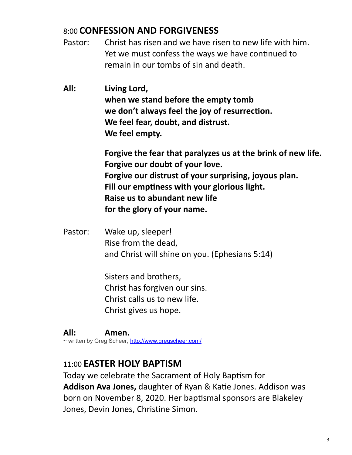# 8:00 **CONFESSION AND FORGIVENESS**

- Pastor: Christ has risen and we have risen to new life with him. Yet we must confess the ways we have continued to remain in our tombs of sin and death.
- **All: Living Lord, when we stand before the empty tomb we don't always feel the joy of resurrection. We feel fear, doubt, and distrust. We feel empty.**

**Forgive the fear that paralyzes us at the brink of new life. Forgive our doubt of your love. Forgive our distrust of your surprising, joyous plan. Fill our emptiness with your glorious light. Raise us to abundant new life for the glory of your name.**

Pastor: Wake up, sleeper! Rise from the dead, and Christ will shine on you. (Ephesians 5:14)

> Sisters and brothers, Christ has forgiven our sins. Christ calls us to new life. Christ gives us hope.

#### **All: Amen.** ~ written by Greg Scheer, <http://www.gregscheer.com/>

# 11:00 **EASTER HOLY BAPTISM**

Today we celebrate the Sacrament of Holy Baptism for **Addison Ava Jones,** daughter of Ryan & Katie Jones. Addison was born on November 8, 2020. Her baptismal sponsors are Blakeley Jones, Devin Jones, Christine Simon.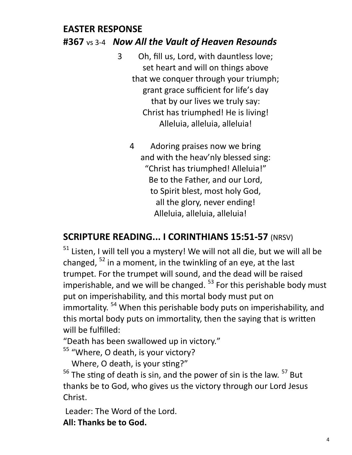# **EASTER RESPONSE #367** vs 3-4 *Now All the Vault of Heaven Resounds*

3 Oh, fill us, Lord, with dauntless love; set heart and will on things above that we conquer through your triumph; grant grace sufficient for life's day that by our lives we truly say: Christ has triumphed! He is living! Alleluia, alleluia, alleluia!

4 Adoring praises now we bring and with the heav'nly blessed sing: "Christ has triumphed! Alleluia!" Be to the Father, and our Lord, to Spirit blest, most holy God, all the glory, never ending! Alleluia, alleluia, alleluia!

# **SCRIPTURE READING... I CORINTHIANS 15:51-57** (NRSV)

 $51$  Listen, I will tell you a mystery! We will not all die, but we will all be changed,  $52$  in a moment, in the twinkling of an eye, at the last trumpet. For the trumpet will sound, and the dead will be raised imperishable, and we will be changed.  $53$  For this perishable body must put on imperishability, and this mortal body must put on immortality.<sup>54</sup> When this perishable body puts on imperishability, and this mortal body puts on immortality, then the saying that is written will be fulfilled:

"Death has been swallowed up in victory."

<sup>55</sup> "Where, O death, is your victory?

Where, O death, is your sting?"

 $56$  The sting of death is sin, and the power of sin is the law.  $57$  But thanks be to God, who gives us the victory through our Lord Jesus Christ.

Leader: The Word of the Lord. **All: Thanks be to God.**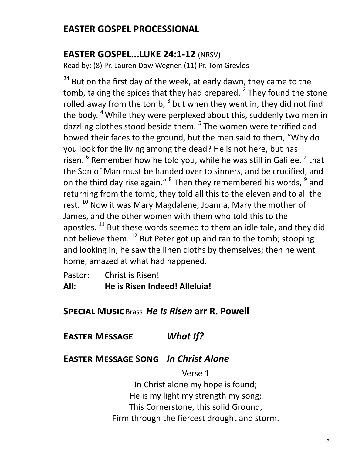# **EASTER GOSPEL PROCESSIONAL**

#### **EASTER GOSPEL...LUKE 24:1-12** (NRSV)

Read by: (8) Pr. Lauren Dow Wegner, (11) Pr. Tom Grevlos

 $24$  But on the first day of the week, at early dawn, they came to the tomb, taking the spices that they had prepared.  $^2$  They found the stone rolled away from the tomb, <sup>3</sup> but when they went in, they did not find the body. <sup>4</sup> While they were perplexed about this, suddenly two men in dazzling clothes stood beside them. <sup>5</sup> The women were terrified and bowed their faces to the ground, but the men said to them, "Why do you look for the living among the dead? He is not here, but has risen. <sup>6</sup> Remember how he told you, while he was still in Galilee, <sup>7</sup> that the Son of Man must be handed over to sinners, and be crucified, and on the third day rise again." <sup>8</sup> Then they remembered his words, <sup>9</sup> and returning from the tomb, they told all this to the eleven and to all the rest.<sup>10</sup> Now it was Mary Magdalene, Joanna, Mary the mother of James, and the other women with them who told this to the apostles.<sup>11</sup> But these words seemed to them an idle tale, and they did not believe them.  $^{12}$  But Peter got up and ran to the tomb; stooping and looking in, he saw the linen cloths by themselves; then he went home, amazed at what had happened.

- Pastor: Christ is Risen!
- **All: He is Risen Indeed! Alleluia!**

**Special Music** Brass *He Is Risen* **arr R. Powell** 

# **Easter Message** *What If?*

#### **Easter Message Song** *In Christ Alone*

Verse 1

In Christ alone my hope is found; He is my light my strength my song; This Cornerstone, this solid Ground, Firm through the fiercest drought and storm.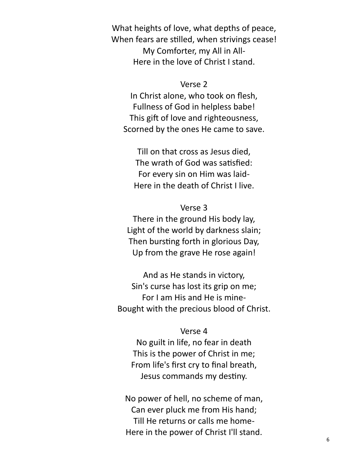What heights of love, what depths of peace, When fears are stilled, when strivings cease! My Comforter, my All in All-Here in the love of Christ I stand.

#### Verse 2

In Christ alone, who took on flesh, Fullness of God in helpless babe! This gift of love and righteousness, Scorned by the ones He came to save.

Till on that cross as Jesus died, The wrath of God was satisfied: For every sin on Him was laid-Here in the death of Christ I live.

#### Verse 3

There in the ground His body lay, Light of the world by darkness slain; Then bursting forth in glorious Day, Up from the grave He rose again!

And as He stands in victory, Sin's curse has lost its grip on me; For I am His and He is mine-Bought with the precious blood of Christ.

#### Verse 4

No guilt in life, no fear in death This is the power of Christ in me; From life's first cry to final breath, Jesus commands my destiny.

No power of hell, no scheme of man, Can ever pluck me from His hand; Till He returns or calls me home-Here in the power of Christ I'll stand.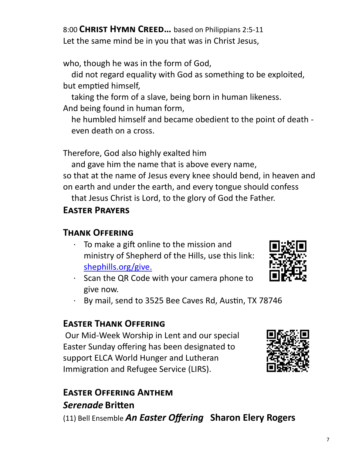8:00 **Christ Hymn Creed…** based on Philippians 2:5-11

Let the same mind be in you that was in Christ Jesus,

who, though he was in the form of God,

 did not regard equality with God as something to be exploited, but emptied himself,

 taking the form of a slave, being born in human likeness. And being found in human form,

 he humbled himself and became obedient to the point of death even death on a cross.

Therefore, God also highly exalted him

 and gave him the name that is above every name, so that at the name of Jesus every knee should bend, in heaven and on earth and under the earth, and every tongue should confess that Jesus Christ is Lord, to the glory of God the Father.

# **Easter Prayers**

# **Thank Offering**

- To make a gift online to the mission and ministry of Shepherd of the Hills, use this link: [shephills.org/give.](https://shephills.org/give/)
- · Scan the QR Code with your camera phone to give now.



· By mail, send to 3525 Bee Caves Rd, Austin, TX 78746

#### **Easter Thank Offering**

Our Mid-Week Worship in Lent and our special Easter Sunday offering has been designated to support ELCA World Hunger and Lutheran Immigration and Refugee Service (LIRS).



# **Easter Offering Anthem**  *Serenade* **Britten**

(11) Bell Ensemble *An Easter Offering* **Sharon Elery Rogers**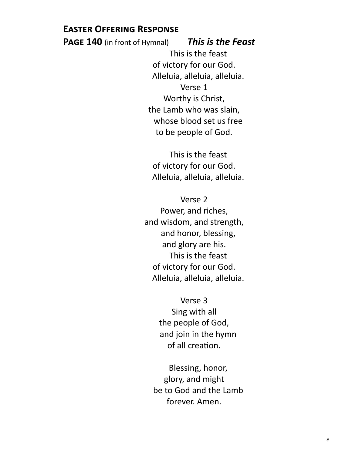#### **Easter Offering Response**

**Page 140** (in front of Hymnal) *This is the Feast*

 This is the feast of victory for our God. Alleluia, alleluia, alleluia. Verse 1 Worthy is Christ, the Lamb who was slain, whose blood set us free to be people of God.

 This is the feast of victory for our God. Alleluia, alleluia, alleluia.

Verse 2 Power, and riches, and wisdom, and strength, and honor, blessing, and glory are his. This is the feast of victory for our God. Alleluia, alleluia, alleluia.

> Verse 3 Sing with all the people of God, and join in the hymn of all creation.

 Blessing, honor, glory, and might be to God and the Lamb forever. Amen.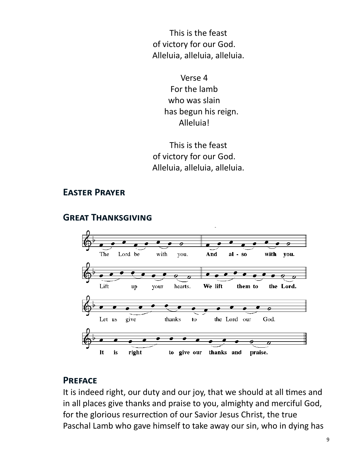This is the feast of victory for our God. Alleluia, alleluia, alleluia.

> Verse 4 For the lamb who was slain has begun his reign. Alleluia!

 This is the feast of victory for our God. Alleluia, alleluia, alleluia.

#### **Easter Prayer**



#### **Great Thanksgiving**

#### **Preface**

It is indeed right, our duty and our joy, that we should at all times and in all places give thanks and praise to you, almighty and merciful God, for the glorious resurrection of our Savior Jesus Christ, the true Paschal Lamb who gave himself to take away our sin, who in dying has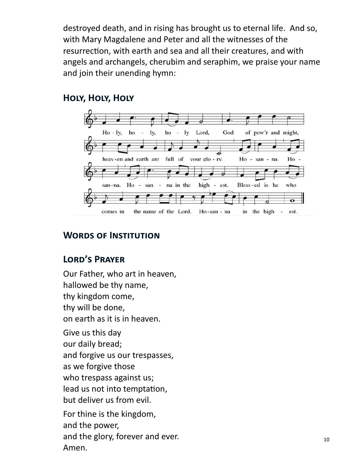destroyed death, and in rising has brought us to eternal life. And so, with Mary Magdalene and Peter and all the witnesses of the resurrection, with earth and sea and all their creatures, and with angels and archangels, cherubim and seraphim, we praise your name and join their unending hymn:

# **Holy, Holy, Holy**



#### **Words of Institution**

#### **Lord's Prayer**

Our Father, who art in heaven, hallowed be thy name, thy kingdom come, thy will be done, on earth as it is in heaven. Give us this day our daily bread; and forgive us our trespasses, as we forgive those who trespass against us; lead us not into temptation, but deliver us from evil. For thine is the kingdom, and the power,

and the glory, forever and ever.

Amen.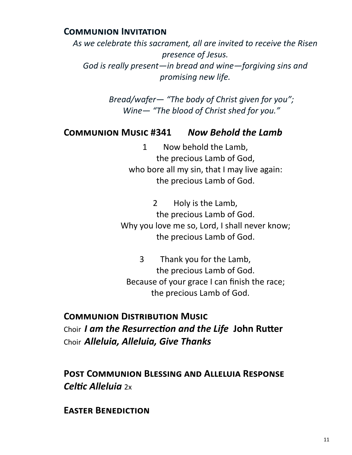#### **Communion Invitation**

*As we celebrate this sacrament, all are invited to receive the Risen presence of Jesus. God is really present—in bread and wine—forgiving sins and promising new life.* 

> *Bread/wafer— "The body of Christ given for you"; Wine— "The blood of Christ shed for you."*

#### **Communion Music #341** *Now Behold the Lamb*

1 Now behold the Lamb, the precious Lamb of God, who bore all my sin, that I may live again: the precious Lamb of God.

2 Holy is the Lamb, the precious Lamb of God. Why you love me so, Lord, I shall never know; the precious Lamb of God.

3 Thank you for the Lamb, the precious Lamb of God. Because of your grace I can finish the race; the precious Lamb of God.

## **Communion Distribution Music**  Choir *I am the Resurrection and the Life* **John Rutter** Choir *Alleluia, Alleluia, Give Thanks*

# **Post Communion Blessing and Alleluia Response**  *Celtic Alleluia* 2x

**Easter Benediction**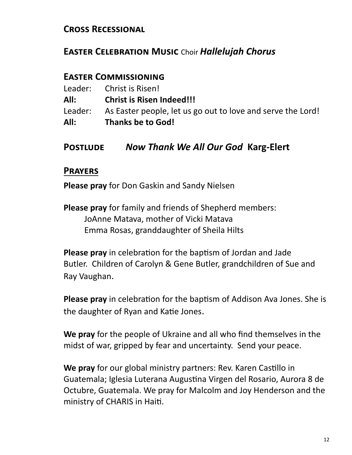#### **Cross Recessional**

#### **Easter Celebration Music** Choir *Hallelujah Chorus*

#### **Easter Commissioning**

- Leader: Christ is Risen!
- **All: Christ is Risen Indeed!!!**
- Leader: As Easter people, let us go out to love and serve the Lord!
- **All: Thanks be to God!**

# **Postlude** *Now Thank We All Our God* **Karg-Elert**

#### **Prayers**

**Please pray** for Don Gaskin and Sandy Nielsen

**Please pray** for family and friends of Shepherd members: JoAnne Matava, mother of Vicki Matava Emma Rosas, granddaughter of Sheila Hilts

**Please pray** in celebration for the baptism of Jordan and Jade Butler. Children of Carolyn & Gene Butler, grandchildren of Sue and Ray Vaughan.

**Please pray** in celebration for the baptism of Addison Ava Jones. She is the daughter of Ryan and Katie Jones.

**We pray** for the people of Ukraine and all who find themselves in the midst of war, gripped by fear and uncertainty. Send your peace.

**We pray** for our global ministry partners: Rev. Karen Castillo in Guatemala; Iglesia Luterana Augustina Virgen del Rosario, Aurora 8 de Octubre, Guatemala. We pray for Malcolm and Joy Henderson and the ministry of CHARIS in Haiti.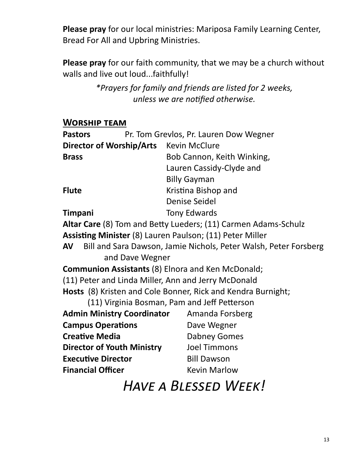**Please pray** for our local ministries: Mariposa Family Learning Center, Bread For All and Upbring Ministries.

**Please pray** for our faith community, that we may be a church without walls and live out loud...faithfully!

> *\*Prayers for family and friends are listed for 2 weeks, unless we are notified otherwise.*

#### **Worship team**

| Pr. Tom Grevlos, Pr. Lauren Dow Wegner<br><b>Pastors</b>                   |                            |
|----------------------------------------------------------------------------|----------------------------|
| <b>Director of Worship/Arts</b>                                            | <b>Kevin McClure</b>       |
| <b>Brass</b>                                                               | Bob Cannon, Keith Winking, |
|                                                                            | Lauren Cassidy-Clyde and   |
|                                                                            | <b>Billy Gayman</b>        |
| <b>Flute</b>                                                               | Kristina Bishop and        |
|                                                                            | <b>Denise Seidel</b>       |
| <b>Timpani</b>                                                             | <b>Tony Edwards</b>        |
| Altar Care (8) Tom and Betty Lueders; (11) Carmen Adams-Schulz             |                            |
| <b>Assisting Minister (8) Lauren Paulson; (11) Peter Miller</b>            |                            |
| <b>AV</b> Bill and Sara Dawson, Jamie Nichols, Peter Walsh, Peter Forsberg |                            |
| and Dave Wegner                                                            |                            |
| <b>Communion Assistants (8) Elnora and Ken McDonald;</b>                   |                            |
| (11) Peter and Linda Miller, Ann and Jerry McDonald                        |                            |
| Hosts (8) Kristen and Cole Bonner, Rick and Kendra Burnight;               |                            |
| (11) Virginia Bosman, Pam and Jeff Petterson                               |                            |
| <b>Admin Ministry Coordinator</b>                                          | Amanda Forsberg            |
| <b>Campus Operations</b>                                                   | Dave Wegner                |
| <b>Creative Media</b>                                                      | <b>Dabney Gomes</b>        |
| <b>Director of Youth Ministry</b>                                          | <b>Joel Timmons</b>        |
| <b>Executive Director</b>                                                  | <b>Bill Dawson</b>         |
| <b>Financial Officer</b>                                                   | <b>Kevin Marlow</b>        |

*Have a Blessed Week!*